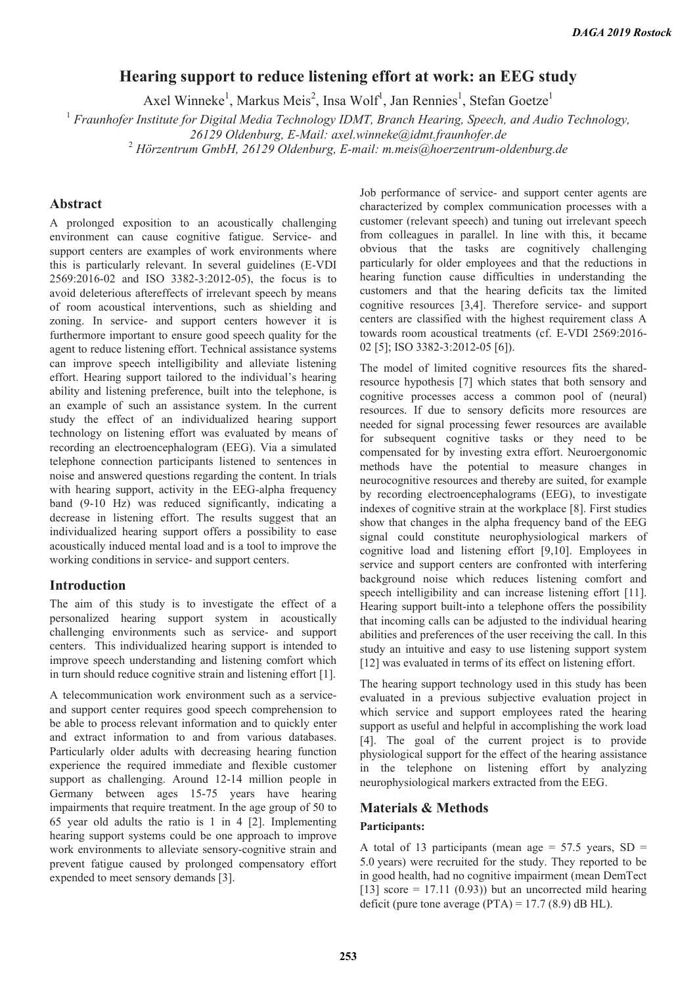# **Hearing support to reduce listening effort at work: an EEG study**

Axel Winneke<sup>1</sup>, Markus Meis<sup>2</sup>, Insa Wolf<sup>1</sup>, Jan Rennies<sup>1</sup>, Stefan Goetze<sup>1</sup>

<sup>1</sup> Fraunhofer Institute for Digital Media Technology IDMT, Branch Hearing, Speech, and Audio Technology,

*26129 Oldenburg, E-Mail: axel.winneke@idmt.fraunhofer.de* 

2  *Hörzentrum GmbH, 26129 Oldenburg, E-mail: m.meis@hoerzentrum-oldenburg.de* 

## **Abstract**

A prolonged exposition to an acoustically challenging environment can cause cognitive fatigue. Service- and support centers are examples of work environments where this is particularly relevant. In several guidelines (E-VDI 2569:2016-02 and ISO 3382-3:2012-05), the focus is to avoid deleterious aftereffects of irrelevant speech by means of room acoustical interventions, such as shielding and zoning. In service- and support centers however it is furthermore important to ensure good speech quality for the agent to reduce listening effort. Technical assistance systems can improve speech intelligibility and alleviate listening effort. Hearing support tailored to the individual's hearing ability and listening preference, built into the telephone, is an example of such an assistance system. In the current study the effect of an individualized hearing support technology on listening effort was evaluated by means of recording an electroencephalogram (EEG). Via a simulated telephone connection participants listened to sentences in noise and answered questions regarding the content. In trials with hearing support, activity in the EEG-alpha frequency band (9-10 Hz) was reduced significantly, indicating a decrease in listening effort. The results suggest that an individualized hearing support offers a possibility to ease acoustically induced mental load and is a tool to improve the working conditions in service- and support centers.

### **Introduction**

The aim of this study is to investigate the effect of a personalized hearing support system in acoustically challenging environments such as service- and support centers. This individualized hearing support is intended to improve speech understanding and listening comfort which in turn should reduce cognitive strain and listening effort [1].

A telecommunication work environment such as a serviceand support center requires good speech comprehension to be able to process relevant information and to quickly enter and extract information to and from various databases. Particularly older adults with decreasing hearing function experience the required immediate and flexible customer support as challenging. Around 12-14 million people in Germany between ages 15-75 years have hearing impairments that require treatment. In the age group of 50 to 65 year old adults the ratio is 1 in 4 [2]. Implementing hearing support systems could be one approach to improve work environments to alleviate sensory-cognitive strain and prevent fatigue caused by prolonged compensatory effort expended to meet sensory demands [3].

Job performance of service- and support center agents are characterized by complex communication processes with a customer (relevant speech) and tuning out irrelevant speech from colleagues in parallel. In line with this, it became obvious that the tasks are cognitively challenging particularly for older employees and that the reductions in hearing function cause difficulties in understanding the customers and that the hearing deficits tax the limited cognitive resources [3,4]. Therefore service- and support centers are classified with the highest requirement class A towards room acoustical treatments (cf. E-VDI 2569:2016- 02 [5]; ISO 3382-3:2012-05 [6]).

The model of limited cognitive resources fits the sharedresource hypothesis [7] which states that both sensory and cognitive processes access a common pool of (neural) resources. If due to sensory deficits more resources are needed for signal processing fewer resources are available for subsequent cognitive tasks or they need to be compensated for by investing extra effort. Neuroergonomic methods have the potential to measure changes in neurocognitive resources and thereby are suited, for example by recording electroencephalograms (EEG), to investigate indexes of cognitive strain at the workplace [8]. First studies show that changes in the alpha frequency band of the EEG signal could constitute neurophysiological markers of cognitive load and listening effort [9,10]. Employees in service and support centers are confronted with interfering background noise which reduces listening comfort and speech intelligibility and can increase listening effort [11]. Hearing support built-into a telephone offers the possibility that incoming calls can be adjusted to the individual hearing abilities and preferences of the user receiving the call. In this study an intuitive and easy to use listening support system [12] was evaluated in terms of its effect on listening effort.

The hearing support technology used in this study has been evaluated in a previous subjective evaluation project in which service and support employees rated the hearing support as useful and helpful in accomplishing the work load [4]. The goal of the current project is to provide physiological support for the effect of the hearing assistance in the telephone on listening effort by analyzing neurophysiological markers extracted from the EEG.

### **Materials & Methods**

### **Participants:**

A total of 13 participants (mean age =  $57.5$  years, SD = 5.0 years) were recruited for the study. They reported to be in good health, had no cognitive impairment (mean DemTect [13] score = 17.11 (0.93)) but an uncorrected mild hearing deficit (pure tone average  $(PTA) = 17.7 (8.9)$  dB HL).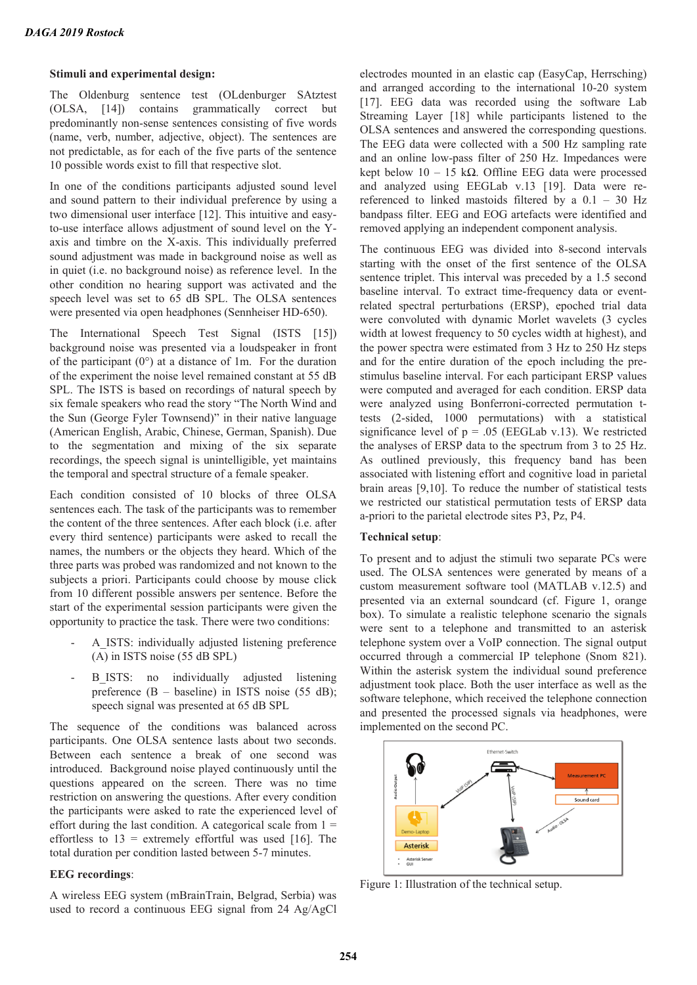### **Stimuli and experimental design:**

The Oldenburg sentence test (OLdenburger SAtztest (OLSA, [14]) contains grammatically correct but predominantly non-sense sentences consisting of five words (name, verb, number, adjective, object). The sentences are not predictable, as for each of the five parts of the sentence 10 possible words exist to fill that respective slot.

In one of the conditions participants adjusted sound level and sound pattern to their individual preference by using a two dimensional user interface [12]. This intuitive and easyto-use interface allows adjustment of sound level on the Yaxis and timbre on the X-axis. This individually preferred sound adjustment was made in background noise as well as in quiet (i.e. no background noise) as reference level. In the other condition no hearing support was activated and the speech level was set to 65 dB SPL. The OLSA sentences were presented via open headphones (Sennheiser HD-650).

The International Speech Test Signal (ISTS [15]) background noise was presented via a loudspeaker in front of the participant  $(0^{\circ})$  at a distance of 1m. For the duration of the experiment the noise level remained constant at 55 dB SPL. The ISTS is based on recordings of natural speech by six female speakers who read the story "The North Wind and the Sun (George Fyler Townsend)" in their native language (American English, Arabic, Chinese, German, Spanish). Due to the segmentation and mixing of the six separate recordings, the speech signal is unintelligible, yet maintains the temporal and spectral structure of a female speaker.

Each condition consisted of 10 blocks of three OLSA sentences each. The task of the participants was to remember the content of the three sentences. After each block (i.e. after every third sentence) participants were asked to recall the names, the numbers or the objects they heard. Which of the three parts was probed was randomized and not known to the subjects a priori. Participants could choose by mouse click from 10 different possible answers per sentence. Before the start of the experimental session participants were given the opportunity to practice the task. There were two conditions:

- A\_ISTS: individually adjusted listening preference (A) in ISTS noise (55 dB SPL)
- B\_ISTS: no individually adjusted listening preference  $(B - baseline)$  in ISTS noise (55 dB); speech signal was presented at 65 dB SPL

The sequence of the conditions was balanced across participants. One OLSA sentence lasts about two seconds. Between each sentence a break of one second was introduced. Background noise played continuously until the questions appeared on the screen. There was no time restriction on answering the questions. After every condition the participants were asked to rate the experienced level of effort during the last condition. A categorical scale from  $1 =$ effortless to  $13$  = extremely effortful was used [16]. The total duration per condition lasted between 5-7 minutes.

### **EEG recordings**:

A wireless EEG system (mBrainTrain, Belgrad, Serbia) was used to record a continuous EEG signal from 24 Ag/AgCl

electrodes mounted in an elastic cap (EasyCap, Herrsching) and arranged according to the international 10-20 system [17]. EEG data was recorded using the software Lab Streaming Layer [18] while participants listened to the OLSA sentences and answered the corresponding questions. The EEG data were collected with a 500 Hz sampling rate and an online low-pass filter of 250 Hz. Impedances were kept below  $10 - 15$  kΩ. Offline EEG data were processed and analyzed using EEGLab v.13 [19]. Data were rereferenced to linked mastoids filtered by a 0.1 – 30 Hz bandpass filter. EEG and EOG artefacts were identified and removed applying an independent component analysis.

The continuous EEG was divided into 8-second intervals starting with the onset of the first sentence of the OLSA sentence triplet. This interval was preceded by a 1.5 second baseline interval. To extract time-frequency data or eventrelated spectral perturbations (ERSP), epoched trial data were convoluted with dynamic Morlet wavelets (3 cycles width at lowest frequency to 50 cycles width at highest), and the power spectra were estimated from 3 Hz to 250 Hz steps and for the entire duration of the epoch including the prestimulus baseline interval. For each participant ERSP values were computed and averaged for each condition. ERSP data were analyzed using Bonferroni-corrected permutation ttests (2-sided, 1000 permutations) with a statistical significance level of  $p = .05$  (EEGLab v.13). We restricted the analyses of ERSP data to the spectrum from 3 to 25 Hz. As outlined previously, this frequency band has been associated with listening effort and cognitive load in parietal brain areas [9,10]. To reduce the number of statistical tests we restricted our statistical permutation tests of ERSP data a-priori to the parietal electrode sites P3, Pz, P4.

### **Technical setup**:

To present and to adjust the stimuli two separate PCs were used. The OLSA sentences were generated by means of a custom measurement software tool (MATLAB v.12.5) and presented via an external soundcard (cf. Figure 1, orange box). To simulate a realistic telephone scenario the signals were sent to a telephone and transmitted to an asterisk telephone system over a VoIP connection. The signal output occurred through a commercial IP telephone (Snom 821). Within the asterisk system the individual sound preference adjustment took place. Both the user interface as well as the software telephone, which received the telephone connection and presented the processed signals via headphones, were implemented on the second PC.



Figure 1: Illustration of the technical setup.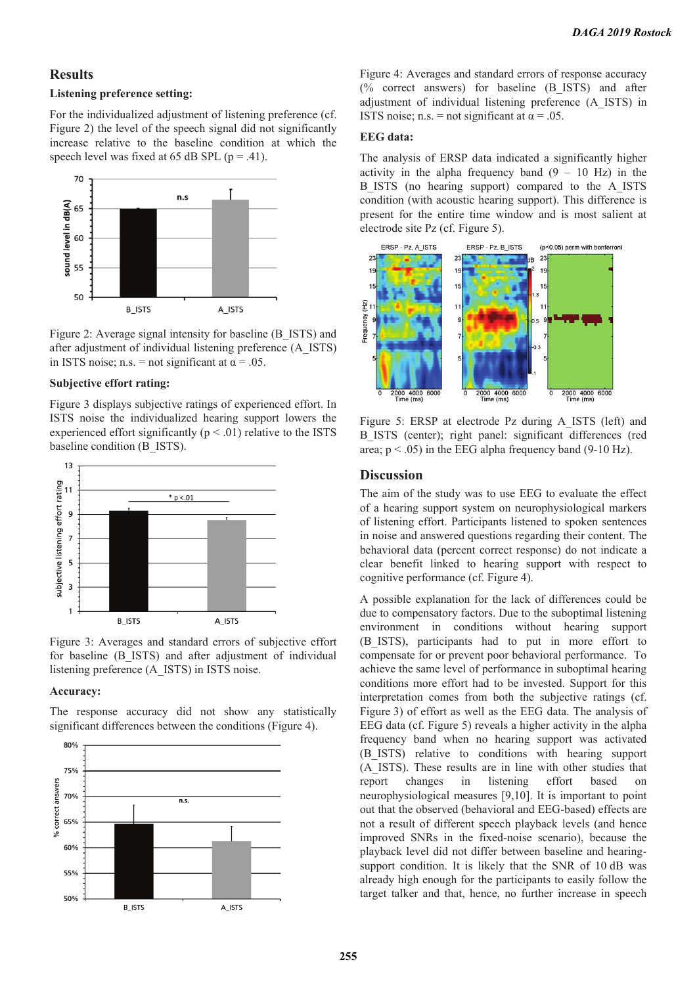### **Results**

### **Listening preference setting:**

For the individualized adjustment of listening preference (cf. Figure 2) the level of the speech signal did not significantly increase relative to the baseline condition at which the speech level was fixed at 65 dB SPL ( $p = .41$ ).



Figure 2: Average signal intensity for baseline (B\_ISTS) and after adjustment of individual listening preference (A\_ISTS) in ISTS noise; n.s. = not significant at  $\alpha$  = .05.

### **Subjective effort rating:**

Figure 3 displays subjective ratings of experienced effort. In ISTS noise the individualized hearing support lowers the experienced effort significantly ( $p < .01$ ) relative to the ISTS baseline condition (B\_ISTS).



Figure 3: Averages and standard errors of subjective effort for baseline (B\_ISTS) and after adjustment of individual listening preference (A\_ISTS) in ISTS noise.

### **Accuracy:**

The response accuracy did not show any statistically significant differences between the conditions (Figure 4).



Figure 4: Averages and standard errors of response accuracy (% correct answers) for baseline (B\_ISTS) and after adjustment of individual listening preference (A\_ISTS) in ISTS noise; n.s. = not significant at  $\alpha$  = .05.

#### **EEG data:**

The analysis of ERSP data indicated a significantly higher activity in the alpha frequency band  $(9 - 10$  Hz) in the B\_ISTS (no hearing support) compared to the A\_ISTS condition (with acoustic hearing support). This difference is present for the entire time window and is most salient at electrode site Pz (cf. Figure 5).



Figure 5: ERSP at electrode Pz during A\_ISTS (left) and B ISTS (center); right panel: significant differences (red area;  $p < .05$ ) in the EEG alpha frequency band (9-10 Hz).

### **Discussion**

The aim of the study was to use EEG to evaluate the effect of a hearing support system on neurophysiological markers of listening effort. Participants listened to spoken sentences in noise and answered questions regarding their content. The behavioral data (percent correct response) do not indicate a clear benefit linked to hearing support with respect to cognitive performance (cf. Figure 4).

A possible explanation for the lack of differences could be due to compensatory factors. Due to the suboptimal listening environment in conditions without hearing support (B\_ISTS), participants had to put in more effort to compensate for or prevent poor behavioral performance. To achieve the same level of performance in suboptimal hearing conditions more effort had to be invested. Support for this interpretation comes from both the subjective ratings (cf. Figure 3) of effort as well as the EEG data. The analysis of EEG data (cf. Figure 5) reveals a higher activity in the alpha frequency band when no hearing support was activated (B\_ISTS) relative to conditions with hearing support (A\_ISTS). These results are in line with other studies that report changes in listening effort based on neurophysiological measures [9,10]. It is important to point out that the observed (behavioral and EEG-based) effects are not a result of different speech playback levels (and hence improved SNRs in the fixed-noise scenario), because the playback level did not differ between baseline and hearingsupport condition. It is likely that the SNR of 10 dB was already high enough for the participants to easily follow the target talker and that, hence, no further increase in speech